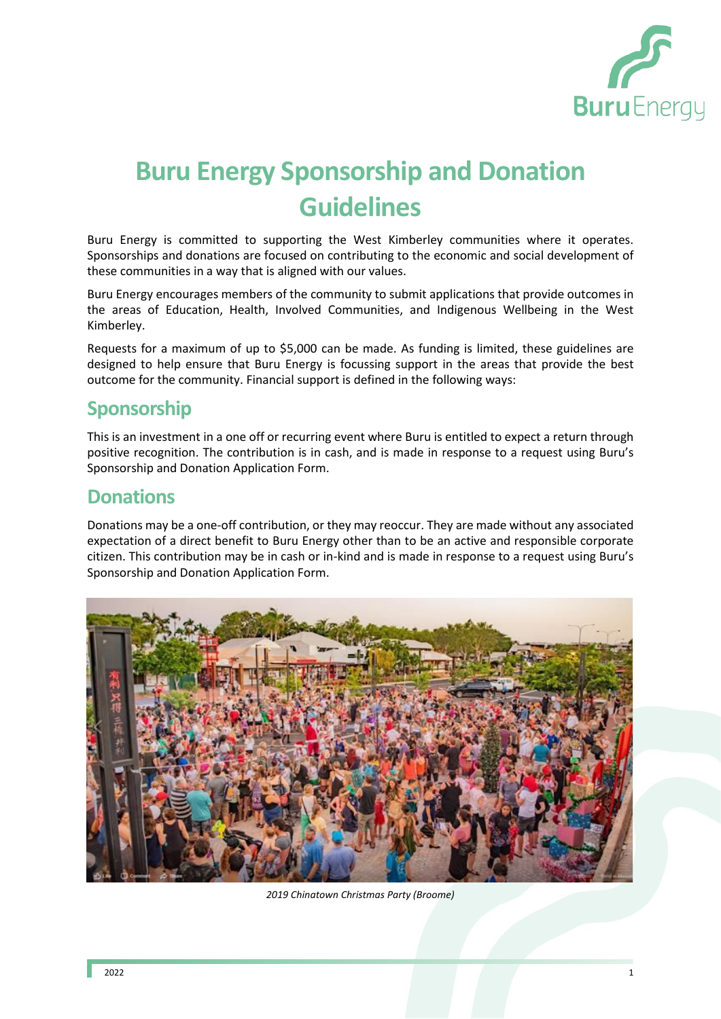

# **Buru Energy Sponsorship and Donation Guidelines**

Buru Energy is committed to supporting the West Kimberley communities where it operates. Sponsorships and donations are focused on contributing to the economic and social development of these communities in a way that is aligned with our values.

Buru Energy encourages members of the community to submit applications that provide outcomes in the areas of Education, Health, Involved Communities, and Indigenous Wellbeing in the West Kimberley.

Requests for a maximum of up to \$5,000 can be made. As funding is limited, these guidelines are designed to help ensure that Buru Energy is focussing support in the areas that provide the best outcome for the community. Financial support is defined in the following ways:

# **Sponsorship**

This is an investment in a one off or recurring event where Buru is entitled to expect a return through positive recognition. The contribution is in cash, and is made in response to a request using Buru's Sponsorship and Donation Application Form.

#### **Donations**

Donations may be a one-off contribution, or they may reoccur. They are made without any associated expectation of a direct benefit to Buru Energy other than to be an active and responsible corporate citizen. This contribution may be in cash or in-kind and is made in response to a request using Buru's Sponsorship and Donation Application Form.



*2019 Chinatown Christmas Party (Broome)*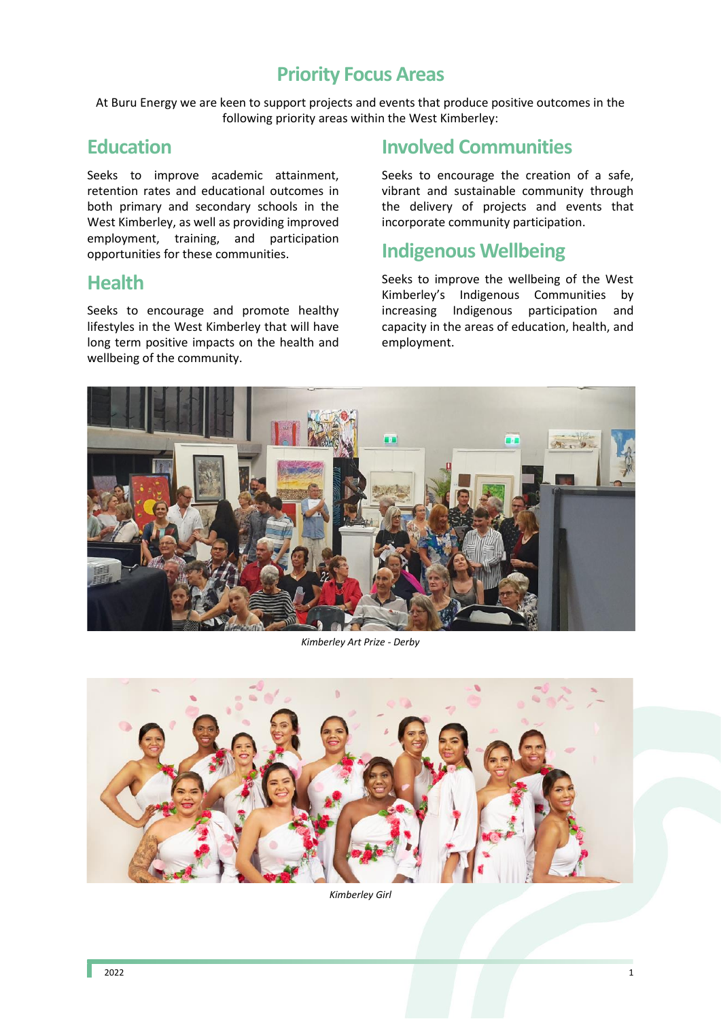### **Priority Focus Areas**

At Buru Energy we are keen to support projects and events that produce positive outcomes in the following priority areas within the West Kimberley:

#### **Education**

Seeks to improve academic attainment, retention rates and educational outcomes in both primary and secondary schools in the West Kimberley, as well as providing improved employment, training, and participation opportunities for these communities.

#### **Health**

Seeks to encourage and promote healthy lifestyles in the West Kimberley that will have long term positive impacts on the health and wellbeing of the community.

# **Involved Communities**

Seeks to encourage the creation of a safe, vibrant and sustainable community through the delivery of projects and events that incorporate community participation.

# **Indigenous Wellbeing**

Seeks to improve the wellbeing of the West Kimberley's Indigenous Communities by increasing Indigenous participation and capacity in the areas of education, health, and employment.



*Kimberley Art Prize - Derby*



*Kimberley Girl*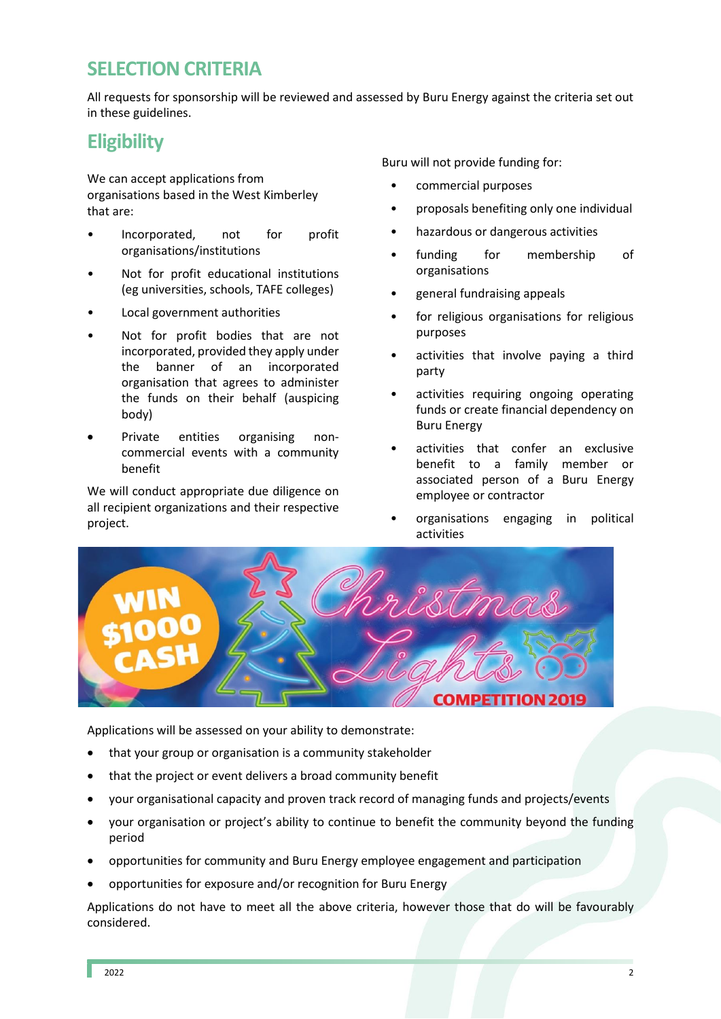# **SELECTION CRITERIA**

All requests for sponsorship will be reviewed and assessed by Buru Energy against the criteria set out in these guidelines.

# **Eligibility**

We can accept applications from organisations based in the West Kimberley that are:

- Incorporated, not for profit organisations/institutions
- Not for profit educational institutions (eg universities, schools, TAFE colleges)
- Local government authorities
- Not for profit bodies that are not incorporated, provided they apply under the banner of an incorporated organisation that agrees to administer the funds on their behalf (auspicing body)
- Private entities organising noncommercial events with a community benefit

We will conduct appropriate due diligence on all recipient organizations and their respective project.

Buru will not provide funding for:

- commercial purposes
- proposals benefiting only one individual
- hazardous or dangerous activities
- funding for membership of organisations
- general fundraising appeals
- for religious organisations for religious purposes
- activities that involve paying a third party
- activities requiring ongoing operating funds or create financial dependency on Buru Energy
- activities that confer an exclusive benefit to a family member or associated person of a Buru Energy employee or contractor
- organisations engaging in political activities



Applications will be assessed on your ability to demonstrate:

- that your group or organisation is a community stakeholder
- that the project or event delivers a broad community benefit
- your organisational capacity and proven track record of managing funds and projects/events
- your organisation or project's ability to continue to benefit the community beyond the funding period
- opportunities for community and Buru Energy employee engagement and participation
- opportunities for exposure and/or recognition for Buru Energy

Applications do not have to meet all the above criteria, however those that do will be favourably considered.